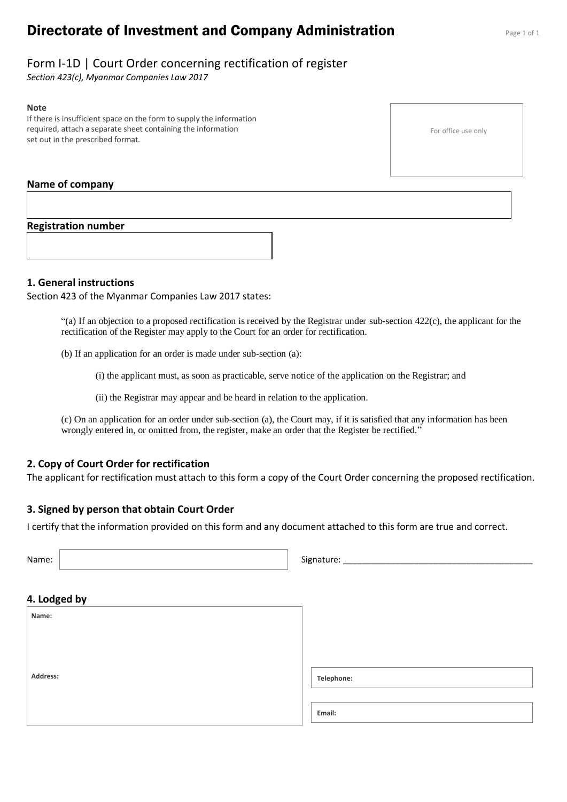# **Directorate of Investment and Company Administration** Page 1 of 1

# Form I-1D | Court Order concerning rectification of register

*Section 423(c), Myanmar Companies Law 2017*

#### **Note**

If there is insufficient space on the form to supply the information required, attach a separate sheet containing the information set out in the prescribed format.

#### **Name of company**

#### **Registration number**

#### **1. General instructions**

Section 423 of the Myanmar Companies Law 2017 states:

 $(2)$  If an objection to a proposed rectification is received by the Registrar under sub-section 422(c), the applicant for the rectification of the Register may apply to the Court for an order for rectification.

(b) If an application for an order is made under sub-section (a):

(i) the applicant must, as soon as practicable, serve notice of the application on the Registrar; and

(ii) the Registrar may appear and be heard in relation to the application.

(c) On an application for an order under sub-section (a), the Court may, if it is satisfied that any information has been wrongly entered in, or omitted from, the register, make an order that the Register be rectified."

#### **2. Copy of Court Order for rectification**

The applicant for rectification must attach to this form a copy of the Court Order concerning the proposed rectification.

### **3. Signed by person that obtain Court Order**

I certify that the information provided on this form and any document attached to this form are true and correct.

| Name:        | Signature: |
|--------------|------------|
|              |            |
| 4. Lodged by |            |
| Name:        |            |
|              |            |
|              |            |
|              |            |
| Address:     | Telephone: |
|              |            |
|              | Email:     |

For office use only